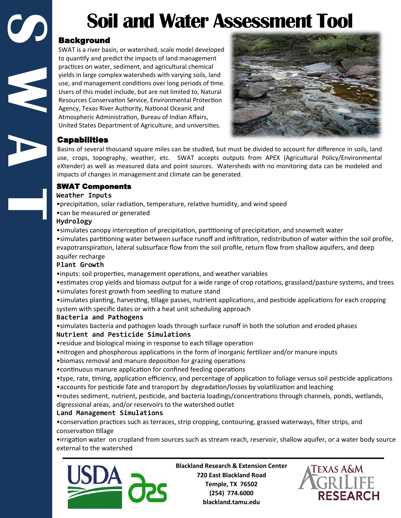# **Soil and Water Assessment Tool**

# Background

SWAT is a river basin, or watershed, scale model developed to quantify and predict the impacts of land management practices on water, sediment, and agricultural chemical yields in large complex watersheds with varying soils, land use, and management conditions over long periods of time. Users of this model include, but are not limited to, Natural Resources Conservation Service, Environmental Protection Agency, Texas River Authority, National Oceanic and Atmospheric Administration, Bureau of Indian Affairs, United States Department of Agriculture, and universities.



# Capabilities

**C**<br>**B**<br>**C**<br>**C**<br>**C** 

Basins of several thousand square miles can be studied, but must be divided to account for difference in soils, land use, crops, topography, weather, etc. SWAT accepts outputs from APEX (Agricultural Policy/Environmental eXtender) as well as measured data and point sources. Watersheds with no monitoring data can be modeled and impacts of changes in management and climate can be generated.

# SWAT Components

## **Weather Inputs**

•precipitation, solar radiation, temperature, relative humidity, and wind speed

## •can be measured or generated

## **Hydrology**

•simulates canopy interception of precipitation, partitioning of precipitation, and snowmelt water

•simulates partitioning water between surface runoff and infiltration, redistribution of water within the soil profile, evapotranspiration, lateral subsurface flow from the soil profile, return flow from shallow aquifers, and deep aquifer recharge

# **Plant Growth**

•inputs: soil properties, management operations, and weather variables

•estimates crop yields and biomass output for a wide range of crop rotations, grassland/pasture systems, and trees •simulates forest growth from seedling to mature stand

•simulates planting, harvesting, tillage passes, nutrient applications, and pesticide applications for each cropping system with specific dates or with a heat unit scheduling approach

# **Bacteria and Pathogens**

•simulates bacteria and pathogen loads through surface runoff in both the solution and eroded phases **Nutrient and Pesticide Simulations**

•residue and biological mixing in response to each tillage operation

- •nitrogen and phosphorous applications in the form of inorganic fertilizer and/or manure inputs
- •biomass removal and manure deposition for grazing operations
- •continuous manure application for confined feeding operations
- •type, rate, timing, application efficiency, and percentage of application to foliage versus soil pesticide applications •accounts for pesticide fate and transport by degradation/losses by volatilization and leaching
- •routes sediment, nutrient, pesticide, and bacteria loadings/concentrations through channels, ponds, wetlands, digressional areas, and/or reservoirs to the watershed outlet

# **Land Management Simulations**

•conservation practices such as terraces, strip cropping, contouring, grassed waterways, filter strips, and conservation tillage

•irrigation water on cropland from sources such as stream reach, reservoir, shallow aquifer, or a water body source external to the watershed



**Blackland Research & Extension Center 720 East Blackland Road Temple, TX 76502 (254) 774.6000 blackland.tamu.edu**